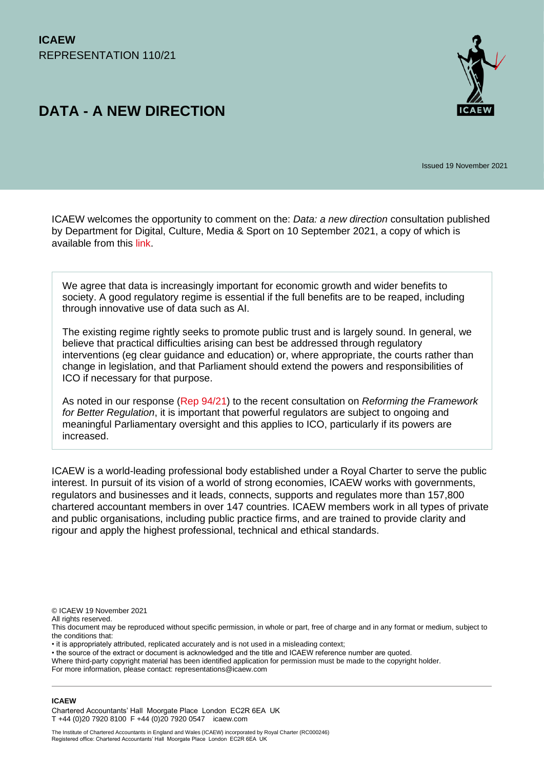# **DATA - A NEW DIRECTION**



Issued 19 November 2021

ICAEW welcomes the opportunity to comment on the: *Data: a new direction* consultation published by Department for Digital, Culture, Media & Sport on 10 September 2021, a copy of which is available from this [link.](https://assets.publishing.service.gov.uk/government/uploads/system/uploads/attachment_data/file/1022315/Data_Reform_Consultation_Document__Accessible_.pdf)

We agree that data is increasingly important for economic growth and wider benefits to society. A good regulatory regime is essential if the full benefits are to be reaped, including through innovative use of data such as AI.

The existing regime rightly seeks to promote public trust and is largely sound. In general, we believe that practical difficulties arising can best be addressed through regulatory interventions (eg clear guidance and education) or, where appropriate, the courts rather than change in legislation, and that Parliament should extend the powers and responsibilities of ICO if necessary for that purpose.

As noted in our response [\(Rep 94/21\)](https://www.icaew.com/-/media/corporate/files/technical/icaew-representations/2021/icaew-rep-9421-reforming-the-framework-for-better-regulation.ashx) to the recent consultation on *Reforming the Framework for Better Regulation*, it is important that powerful regulators are subject to ongoing and meaningful Parliamentary oversight and this applies to ICO, particularly if its powers are increased.

ICAEW is a world-leading professional body established under a Royal Charter to serve the public interest. In pursuit of its vision of a world of strong economies, ICAEW works with governments, regulators and businesses and it leads, connects, supports and regulates more than 157,800 chartered accountant members in over 147 countries. ICAEW members work in all types of private and public organisations, including public practice firms, and are trained to provide clarity and rigour and apply the highest professional, technical and ethical standards.

© ICAEW 19 November 2021

All rights reserved.

This document may be reproduced without specific permission, in whole or part, free of charge and in any format or medium, subject to the conditions that:

• it is appropriately attributed, replicated accurately and is not used in a misleading context;

• the source of the extract or document is acknowledged and the title and ICAEW reference number are quoted.

Where third-party copyright material has been identified application for permission must be made to the copyright holder.

For more information, please contact: representations@icaew.com

#### **ICAEW**

Chartered Accountants' Hall Moorgate Place London EC2R 6EA UK T +44 (0)20 7920 8100 F +44 (0)20 7920 0547 icaew.com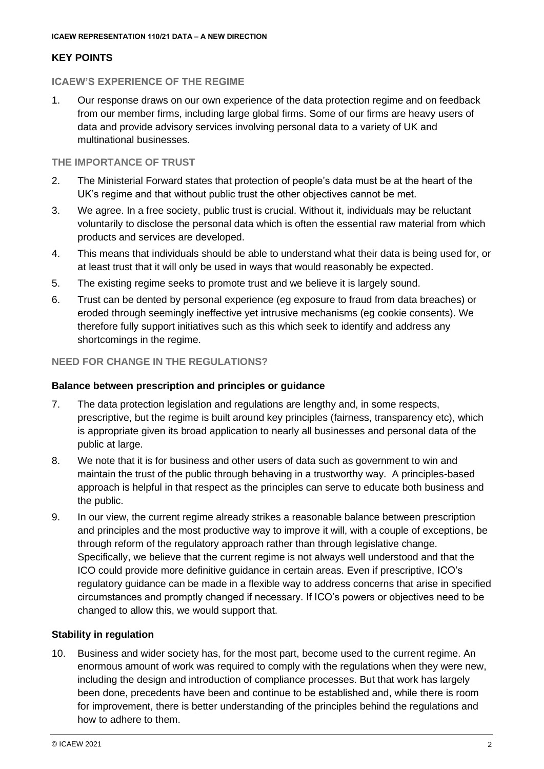# **KEY POINTS**

## **ICAEW'S EXPERIENCE OF THE REGIME**

1. Our response draws on our own experience of the data protection regime and on feedback from our member firms, including large global firms. Some of our firms are heavy users of data and provide advisory services involving personal data to a variety of UK and multinational businesses.

# **THE IMPORTANCE OF TRUST**

- 2. The Ministerial Forward states that protection of people's data must be at the heart of the UK's regime and that without public trust the other objectives cannot be met.
- 3. We agree. In a free society, public trust is crucial. Without it, individuals may be reluctant voluntarily to disclose the personal data which is often the essential raw material from which products and services are developed.
- 4. This means that individuals should be able to understand what their data is being used for, or at least trust that it will only be used in ways that would reasonably be expected.
- 5. The existing regime seeks to promote trust and we believe it is largely sound.
- 6. Trust can be dented by personal experience (eg exposure to fraud from data breaches) or eroded through seemingly ineffective yet intrusive mechanisms (eg cookie consents). We therefore fully support initiatives such as this which seek to identify and address any shortcomings in the regime.

# **NEED FOR CHANGE IN THE REGULATIONS?**

## **Balance between prescription and principles or guidance**

- 7. The data protection legislation and regulations are lengthy and, in some respects, prescriptive, but the regime is built around key principles (fairness, transparency etc), which is appropriate given its broad application to nearly all businesses and personal data of the public at large.
- 8. We note that it is for business and other users of data such as government to win and maintain the trust of the public through behaving in a trustworthy way. A principles-based approach is helpful in that respect as the principles can serve to educate both business and the public.
- 9. In our view, the current regime already strikes a reasonable balance between prescription and principles and the most productive way to improve it will, with a couple of exceptions, be through reform of the regulatory approach rather than through legislative change. Specifically, we believe that the current regime is not always well understood and that the ICO could provide more definitive guidance in certain areas. Even if prescriptive, ICO's regulatory guidance can be made in a flexible way to address concerns that arise in specified circumstances and promptly changed if necessary. If ICO's powers or objectives need to be changed to allow this, we would support that.

## **Stability in regulation**

10. Business and wider society has, for the most part, become used to the current regime. An enormous amount of work was required to comply with the regulations when they were new, including the design and introduction of compliance processes. But that work has largely been done, precedents have been and continue to be established and, while there is room for improvement, there is better understanding of the principles behind the regulations and how to adhere to them.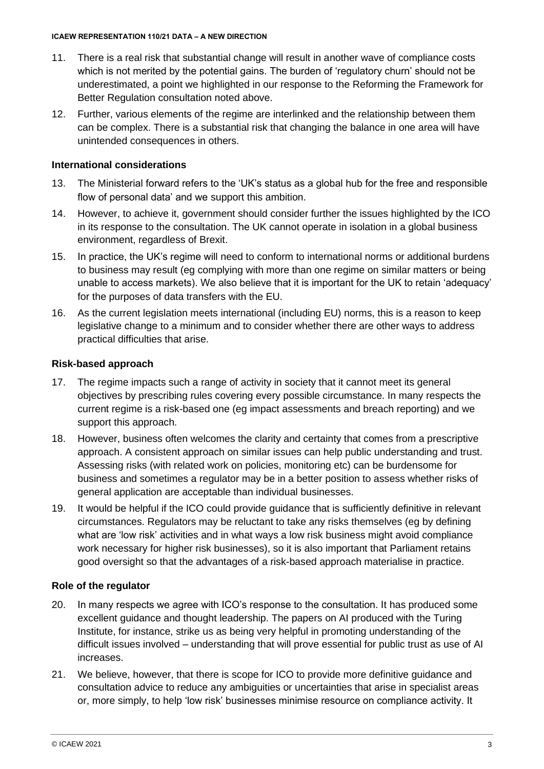- 11. There is a real risk that substantial change will result in another wave of compliance costs which is not merited by the potential gains. The burden of 'regulatory churn' should not be underestimated, a point we highlighted in our response to the Reforming the Framework for Better Regulation consultation noted above.
- 12. Further, various elements of the regime are interlinked and the relationship between them can be complex. There is a substantial risk that changing the balance in one area will have unintended consequences in others.

## **International considerations**

- 13. The Ministerial forward refers to the 'UK's status as a global hub for the free and responsible flow of personal data' and we support this ambition.
- 14. However, to achieve it, government should consider further the issues highlighted by the ICO in its response to the consultation. The UK cannot operate in isolation in a global business environment, regardless of Brexit.
- 15. In practice, the UK's regime will need to conform to international norms or additional burdens to business may result (eg complying with more than one regime on similar matters or being unable to access markets). We also believe that it is important for the UK to retain 'adequacy' for the purposes of data transfers with the EU.
- 16. As the current legislation meets international (including EU) norms, this is a reason to keep legislative change to a minimum and to consider whether there are other ways to address practical difficulties that arise.

## **Risk-based approach**

- 17. The regime impacts such a range of activity in society that it cannot meet its general objectives by prescribing rules covering every possible circumstance. In many respects the current regime is a risk-based one (eg impact assessments and breach reporting) and we support this approach.
- 18. However, business often welcomes the clarity and certainty that comes from a prescriptive approach. A consistent approach on similar issues can help public understanding and trust. Assessing risks (with related work on policies, monitoring etc) can be burdensome for business and sometimes a regulator may be in a better position to assess whether risks of general application are acceptable than individual businesses.
- 19. It would be helpful if the ICO could provide guidance that is sufficiently definitive in relevant circumstances. Regulators may be reluctant to take any risks themselves (eg by defining what are 'low risk' activities and in what ways a low risk business might avoid compliance work necessary for higher risk businesses), so it is also important that Parliament retains good oversight so that the advantages of a risk-based approach materialise in practice.

## **Role of the regulator**

- 20. In many respects we agree with ICO's response to the consultation. It has produced some excellent guidance and thought leadership. The papers on AI produced with the Turing Institute, for instance, strike us as being very helpful in promoting understanding of the difficult issues involved – understanding that will prove essential for public trust as use of AI increases.
- 21. We believe, however, that there is scope for ICO to provide more definitive guidance and consultation advice to reduce any ambiguities or uncertainties that arise in specialist areas or, more simply, to help 'low risk' businesses minimise resource on compliance activity. It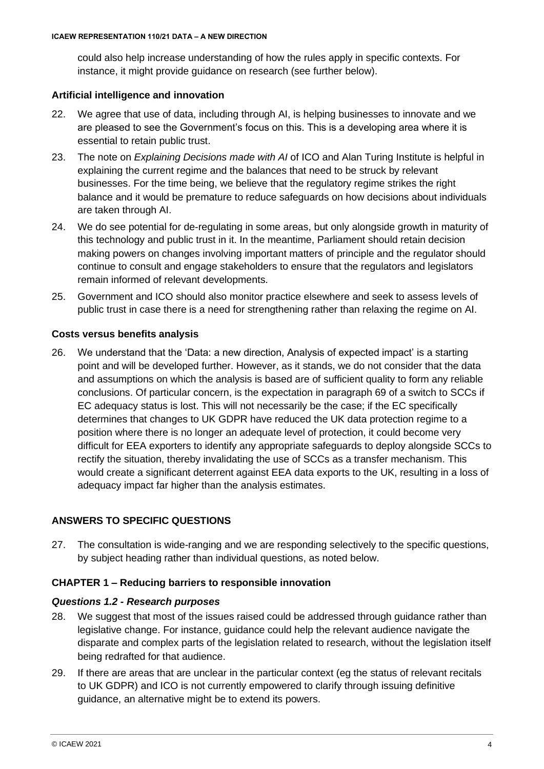could also help increase understanding of how the rules apply in specific contexts. For instance, it might provide guidance on research (see further below).

# **Artificial intelligence and innovation**

- 22. We agree that use of data, including through AI, is helping businesses to innovate and we are pleased to see the Government's focus on this. This is a developing area where it is essential to retain public trust.
- 23. The note on *[Explaining Decisions made with AI](https://ico.org.uk/for-organisations/guide-to-data-protection/key-dp-themes/explaining-decisions-made-with-artificial-intelligence/)* of ICO and Alan Turing Institute is helpful in explaining the current regime and the balances that need to be struck by relevant businesses. For the time being, we believe that the regulatory regime strikes the right balance and it would be premature to reduce safeguards on how decisions about individuals are taken through AI.
- 24. We do see potential for de-regulating in some areas, but only alongside growth in maturity of this technology and public trust in it. In the meantime, Parliament should retain decision making powers on changes involving important matters of principle and the regulator should continue to consult and engage stakeholders to ensure that the regulators and legislators remain informed of relevant developments.
- 25. Government and ICO should also monitor practice elsewhere and seek to assess levels of public trust in case there is a need for strengthening rather than relaxing the regime on AI.

# **Costs versus benefits analysis**

26. We understand that the 'Data: a new direction, Analysis of expected impact' is a starting point and will be developed further. However, as it stands, we do not consider that the data and assumptions on which the analysis is based are of sufficient quality to form any reliable conclusions. Of particular concern, is the expectation in paragraph 69 of a switch to SCCs if EC adequacy status is lost. This will not necessarily be the case; if the EC specifically determines that changes to UK GDPR have reduced the UK data protection regime to a position where there is no longer an adequate level of protection, it could become very difficult for EEA exporters to identify any appropriate safeguards to deploy alongside SCCs to rectify the situation, thereby invalidating the use of SCCs as a transfer mechanism. This would create a significant deterrent against EEA data exports to the UK, resulting in a loss of adequacy impact far higher than the analysis estimates.

# **ANSWERS TO SPECIFIC QUESTIONS**

27. The consultation is wide-ranging and we are responding selectively to the specific questions, by subject heading rather than individual questions, as noted below.

# **CHAPTER 1 – Reducing barriers to responsible innovation**

## *Questions 1.2 - Research purposes*

- 28. We suggest that most of the issues raised could be addressed through guidance rather than legislative change. For instance, guidance could help the relevant audience navigate the disparate and complex parts of the legislation related to research, without the legislation itself being redrafted for that audience.
- 29. If there are areas that are unclear in the particular context (eg the status of relevant recitals to UK GDPR) and ICO is not currently empowered to clarify through issuing definitive guidance, an alternative might be to extend its powers.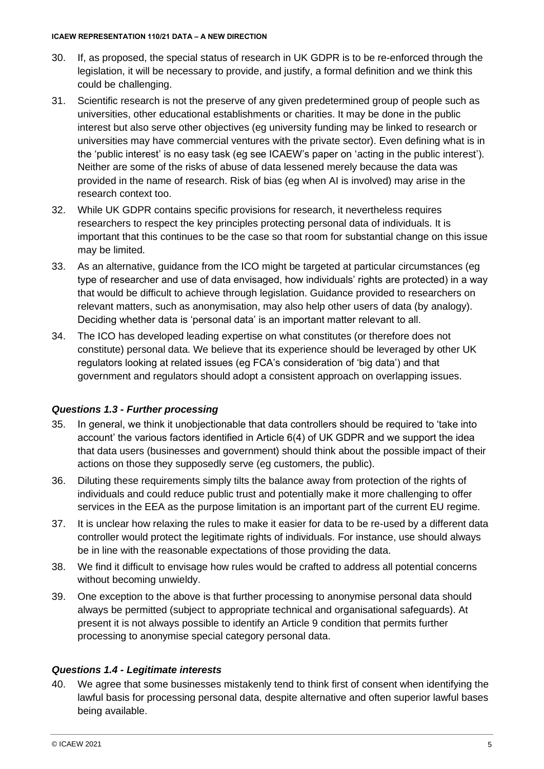- 30. If, as proposed, the special status of research in UK GDPR is to be re-enforced through the legislation, it will be necessary to provide, and justify, a formal definition and we think this could be challenging.
- 31. Scientific research is not the preserve of any given predetermined group of people such as universities, other educational establishments or charities. It may be done in the public interest but also serve other objectives (eg university funding may be linked to research or universities may have commercial ventures with the private sector). Even defining what is in the 'public interest' is no easy task (eg see ICAEW's paper on ['acting in the public interest'](https://www.icaew.com/-/media/corporate/files/technical/ethics/public-int-rep-web.ashx?la=en)). Neither are some of the risks of abuse of data lessened merely because the data was provided in the name of research. Risk of bias (eg when AI is involved) may arise in the research context too.
- 32. While UK GDPR contains specific provisions for research, it nevertheless requires researchers to respect the key principles protecting personal data of individuals. It is important that this continues to be the case so that room for substantial change on this issue may be limited.
- 33. As an alternative, guidance from the ICO might be targeted at particular circumstances (eg type of researcher and use of data envisaged, how individuals' rights are protected) in a way that would be difficult to achieve through legislation. Guidance provided to researchers on relevant matters, such as anonymisation, may also help other users of data (by analogy). Deciding whether data is 'personal data' is an important matter relevant to all.
- 34. The ICO has developed leading expertise on what constitutes (or therefore does not constitute) personal data. We believe that its experience should be leveraged by other UK regulators looking at related issues (eg FCA's consideration of 'big data') and that government and regulators should adopt a consistent approach on overlapping issues.

# *Questions 1.3 - Further processing*

- 35. In general, we think it unobjectionable that data controllers should be required to 'take into account' the various factors identified in Article 6(4) of UK GDPR and we support the idea that data users (businesses and government) should think about the possible impact of their actions on those they supposedly serve (eg customers, the public).
- 36. Diluting these requirements simply tilts the balance away from protection of the rights of individuals and could reduce public trust and potentially make it more challenging to offer services in the EEA as the purpose limitation is an important part of the current EU regime.
- 37. It is unclear how relaxing the rules to make it easier for data to be re-used by a different data controller would protect the legitimate rights of individuals. For instance, use should always be in line with the reasonable expectations of those providing the data.
- 38. We find it difficult to envisage how rules would be crafted to address all potential concerns without becoming unwieldy.
- 39. One exception to the above is that further processing to anonymise personal data should always be permitted (subject to appropriate technical and organisational safeguards). At present it is not always possible to identify an Article 9 condition that permits further processing to anonymise special category personal data.

# *Questions 1.4 - Legitimate interests*

40. We agree that some businesses mistakenly tend to think first of consent when identifying the lawful basis for processing personal data, despite alternative and often superior lawful bases being available.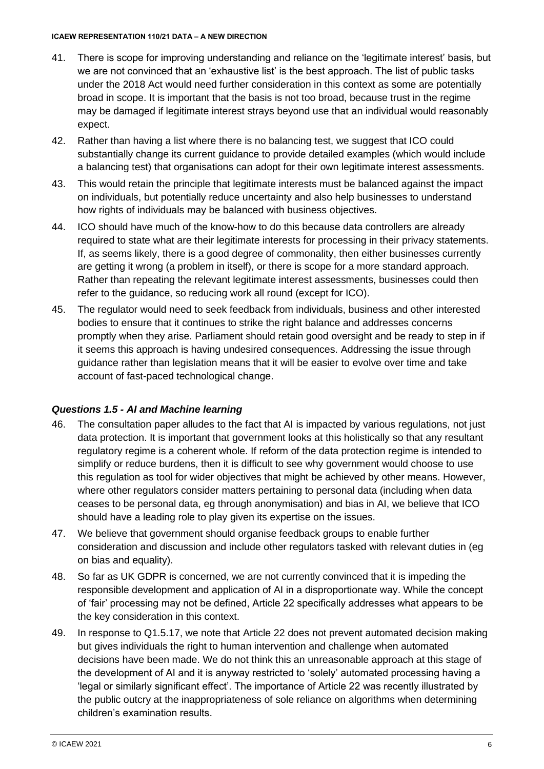- 41. There is scope for improving understanding and reliance on the 'legitimate interest' basis, but we are not convinced that an 'exhaustive list' is the best approach. The list of public tasks under the 2018 Act would need further consideration in this context as some are potentially broad in scope. It is important that the basis is not too broad, because trust in the regime may be damaged if legitimate interest strays beyond use that an individual would reasonably expect.
- 42. Rather than having a list where there is no balancing test, we suggest that ICO could substantially change its current guidance to provide detailed examples (which would include a balancing test) that organisations can adopt for their own legitimate interest assessments.
- 43. This would retain the principle that legitimate interests must be balanced against the impact on individuals, but potentially reduce uncertainty and also help businesses to understand how rights of individuals may be balanced with business objectives.
- 44. ICO should have much of the know-how to do this because data controllers are already required to state what are their legitimate interests for processing in their privacy statements. If, as seems likely, there is a good degree of commonality, then either businesses currently are getting it wrong (a problem in itself), or there is scope for a more standard approach. Rather than repeating the relevant legitimate interest assessments, businesses could then refer to the guidance, so reducing work all round (except for ICO).
- 45. The regulator would need to seek feedback from individuals, business and other interested bodies to ensure that it continues to strike the right balance and addresses concerns promptly when they arise. Parliament should retain good oversight and be ready to step in if it seems this approach is having undesired consequences. Addressing the issue through guidance rather than legislation means that it will be easier to evolve over time and take account of fast-paced technological change.

## *Questions 1.5 - AI and Machine learning*

- 46. The consultation paper alludes to the fact that AI is impacted by various regulations, not just data protection. It is important that government looks at this holistically so that any resultant regulatory regime is a coherent whole. If reform of the data protection regime is intended to simplify or reduce burdens, then it is difficult to see why government would choose to use this regulation as tool for wider objectives that might be achieved by other means. However, where other regulators consider matters pertaining to personal data (including when data ceases to be personal data, eg through anonymisation) and bias in AI, we believe that ICO should have a leading role to play given its expertise on the issues.
- 47. We believe that government should organise feedback groups to enable further consideration and discussion and include other regulators tasked with relevant duties in (eg on bias and equality).
- 48. So far as UK GDPR is concerned, we are not currently convinced that it is impeding the responsible development and application of AI in a disproportionate way. While the concept of 'fair' processing may not be defined, Article 22 specifically addresses what appears to be the key consideration in this context.
- 49. In response to Q1.5.17, we note that Article 22 does not prevent automated decision making but gives individuals the right to human intervention and challenge when automated decisions have been made. We do not think this an unreasonable approach at this stage of the development of AI and it is anyway restricted to 'solely' automated processing having a 'legal or similarly significant effect'. The importance of Article 22 was recently illustrated by the public outcry at the inappropriateness of sole reliance on algorithms when determining children's examination results.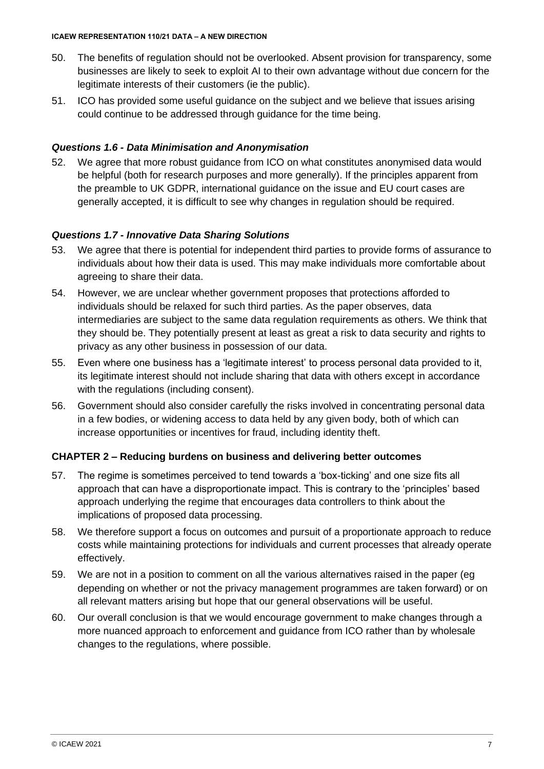- 50. The benefits of regulation should not be overlooked. Absent provision for transparency, some businesses are likely to seek to exploit AI to their own advantage without due concern for the legitimate interests of their customers (ie the public).
- 51. ICO has provided some useful guidance on the subject and we believe that issues arising could continue to be addressed through guidance for the time being.

# *Questions 1.6 - Data Minimisation and Anonymisation*

52. We agree that more robust guidance from ICO on what constitutes anonymised data would be helpful (both for research purposes and more generally). If the principles apparent from the preamble to UK GDPR, international guidance on the issue and EU court cases are generally accepted, it is difficult to see why changes in regulation should be required.

# *Questions 1.7 - Innovative Data Sharing Solutions*

- 53. We agree that there is potential for independent third parties to provide forms of assurance to individuals about how their data is used. This may make individuals more comfortable about agreeing to share their data.
- 54. However, we are unclear whether government proposes that protections afforded to individuals should be relaxed for such third parties. As the paper observes, data intermediaries are subject to the same data regulation requirements as others. We think that they should be. They potentially present at least as great a risk to data security and rights to privacy as any other business in possession of our data.
- 55. Even where one business has a 'legitimate interest' to process personal data provided to it, its legitimate interest should not include sharing that data with others except in accordance with the regulations (including consent).
- 56. Government should also consider carefully the risks involved in concentrating personal data in a few bodies, or widening access to data held by any given body, both of which can increase opportunities or incentives for fraud, including identity theft.

# **CHAPTER 2 – Reducing burdens on business and delivering better outcomes**

- 57. The regime is sometimes perceived to tend towards a 'box-ticking' and one size fits all approach that can have a disproportionate impact. This is contrary to the 'principles' based approach underlying the regime that encourages data controllers to think about the implications of proposed data processing.
- 58. We therefore support a focus on outcomes and pursuit of a proportionate approach to reduce costs while maintaining protections for individuals and current processes that already operate effectively.
- 59. We are not in a position to comment on all the various alternatives raised in the paper (eg depending on whether or not the privacy management programmes are taken forward) or on all relevant matters arising but hope that our general observations will be useful.
- 60. Our overall conclusion is that we would encourage government to make changes through a more nuanced approach to enforcement and guidance from ICO rather than by wholesale changes to the regulations, where possible.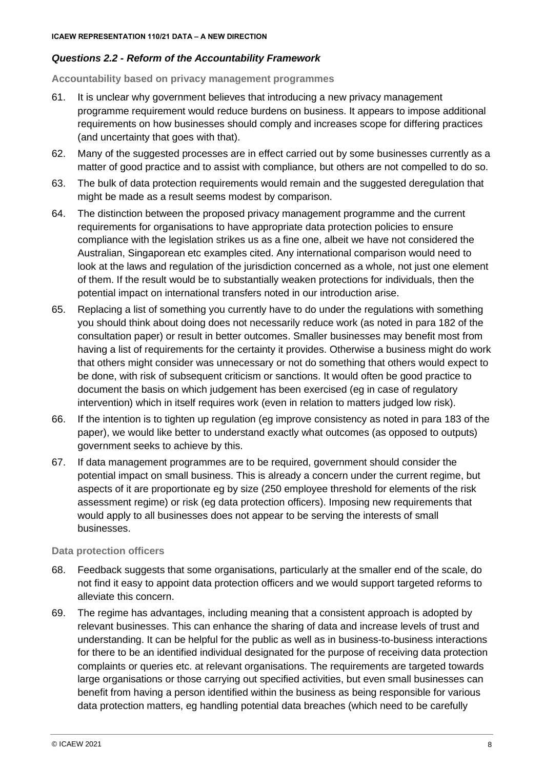# *Questions 2.2 - Reform of the Accountability Framework*

**Accountability based on privacy management programmes** 

- 61. It is unclear why government believes that introducing a new privacy management programme requirement would reduce burdens on business. It appears to impose additional requirements on how businesses should comply and increases scope for differing practices (and uncertainty that goes with that).
- 62. Many of the suggested processes are in effect carried out by some businesses currently as a matter of good practice and to assist with compliance, but others are not compelled to do so.
- 63. The bulk of data protection requirements would remain and the suggested deregulation that might be made as a result seems modest by comparison.
- 64. The distinction between the proposed privacy management programme and the current requirements for organisations to have appropriate data protection policies to ensure compliance with the legislation strikes us as a fine one, albeit we have not considered the Australian, Singaporean etc examples cited. Any international comparison would need to look at the laws and regulation of the jurisdiction concerned as a whole, not just one element of them. If the result would be to substantially weaken protections for individuals, then the potential impact on international transfers noted in our introduction arise.
- 65. Replacing a list of something you currently have to do under the regulations with something you should think about doing does not necessarily reduce work (as noted in para 182 of the consultation paper) or result in better outcomes. Smaller businesses may benefit most from having a list of requirements for the certainty it provides. Otherwise a business might do work that others might consider was unnecessary or not do something that others would expect to be done, with risk of subsequent criticism or sanctions. It would often be good practice to document the basis on which judgement has been exercised (eg in case of regulatory intervention) which in itself requires work (even in relation to matters judged low risk).
- 66. If the intention is to tighten up regulation (eg improve consistency as noted in para 183 of the paper), we would like better to understand exactly what outcomes (as opposed to outputs) government seeks to achieve by this.
- 67. If data management programmes are to be required, government should consider the potential impact on small business. This is already a concern under the current regime, but aspects of it are proportionate eg by size (250 employee threshold for elements of the risk assessment regime) or risk (eg data protection officers). Imposing new requirements that would apply to all businesses does not appear to be serving the interests of small businesses.

## **Data protection officers**

- 68. Feedback suggests that some organisations, particularly at the smaller end of the scale, do not find it easy to appoint data protection officers and we would support targeted reforms to alleviate this concern.
- 69. The regime has advantages, including meaning that a consistent approach is adopted by relevant businesses. This can enhance the sharing of data and increase levels of trust and understanding. It can be helpful for the public as well as in business-to-business interactions for there to be an identified individual designated for the purpose of receiving data protection complaints or queries etc. at relevant organisations. The requirements are targeted towards large organisations or those carrying out specified activities, but even small businesses can benefit from having a person identified within the business as being responsible for various data protection matters, eg handling potential data breaches (which need to be carefully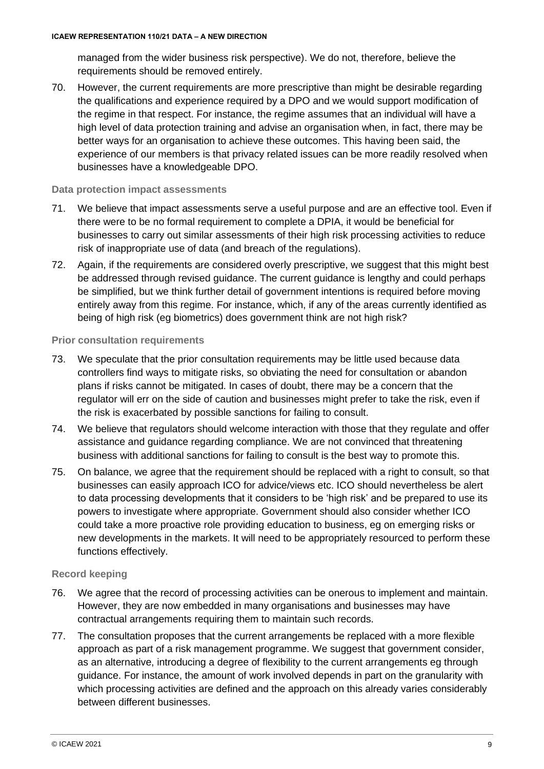managed from the wider business risk perspective). We do not, therefore, believe the requirements should be removed entirely.

70. However, the current requirements are more prescriptive than might be desirable regarding the qualifications and experience required by a DPO and we would support modification of the regime in that respect. For instance, the regime assumes that an individual will have a high level of data protection training and advise an organisation when, in fact, there may be better ways for an organisation to achieve these outcomes. This having been said, the experience of our members is that privacy related issues can be more readily resolved when businesses have a knowledgeable DPO.

#### **Data protection impact assessments**

- 71. We believe that impact assessments serve a useful purpose and are an effective tool. Even if there were to be no formal requirement to complete a DPIA, it would be beneficial for businesses to carry out similar assessments of their high risk processing activities to reduce risk of inappropriate use of data (and breach of the regulations).
- 72. Again, if the requirements are considered overly prescriptive, we suggest that this might best be addressed through revised guidance. The current guidance is lengthy and could perhaps be simplified, but we think further detail of government intentions is required before moving entirely away from this regime. For instance, which, if any of the areas currently identified as being of high risk (eg biometrics) does government think are not high risk?

#### **Prior consultation requirements**

- 73. We speculate that the prior consultation requirements may be little used because data controllers find ways to mitigate risks, so obviating the need for consultation or abandon plans if risks cannot be mitigated. In cases of doubt, there may be a concern that the regulator will err on the side of caution and businesses might prefer to take the risk, even if the risk is exacerbated by possible sanctions for failing to consult.
- 74. We believe that regulators should welcome interaction with those that they regulate and offer assistance and guidance regarding compliance. We are not convinced that threatening business with additional sanctions for failing to consult is the best way to promote this.
- 75. On balance, we agree that the requirement should be replaced with a right to consult, so that businesses can easily approach ICO for advice/views etc. ICO should nevertheless be alert to data processing developments that it considers to be 'high risk' and be prepared to use its powers to investigate where appropriate. Government should also consider whether ICO could take a more proactive role providing education to business, eg on emerging risks or new developments in the markets. It will need to be appropriately resourced to perform these functions effectively.

## **Record keeping**

- 76. We agree that the record of processing activities can be onerous to implement and maintain. However, they are now embedded in many organisations and businesses may have contractual arrangements requiring them to maintain such records.
- 77. The consultation proposes that the current arrangements be replaced with a more flexible approach as part of a risk management programme. We suggest that government consider, as an alternative, introducing a degree of flexibility to the current arrangements eg through guidance. For instance, the amount of work involved depends in part on the granularity with which processing activities are defined and the approach on this already varies considerably between different businesses.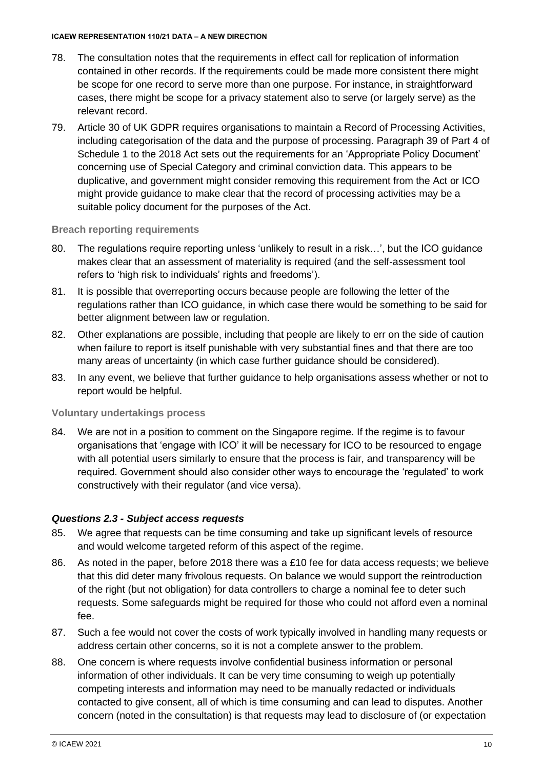- 78. The consultation notes that the requirements in effect call for replication of information contained in other records. If the requirements could be made more consistent there might be scope for one record to serve more than one purpose. For instance, in straightforward cases, there might be scope for a privacy statement also to serve (or largely serve) as the relevant record.
- 79. Article 30 of UK GDPR requires organisations to maintain a Record of Processing Activities, including categorisation of the data and the purpose of processing. Paragraph 39 of Part 4 of Schedule 1 to the 2018 Act sets out the requirements for an 'Appropriate Policy Document' concerning use of Special Category and criminal conviction data. This appears to be duplicative, and government might consider removing this requirement from the Act or ICO might provide guidance to make clear that the record of processing activities may be a suitable policy document for the purposes of the Act.

#### **Breach reporting requirements**

- 80. The regulations require reporting unless 'unlikely to result in a risk...', but the ICO guidance makes clear that an assessment of materiality is required (and the self-assessment tool refers to 'high risk to individuals' rights and freedoms').
- 81. It is possible that overreporting occurs because people are following the letter of the regulations rather than ICO guidance, in which case there would be something to be said for better alignment between law or regulation.
- 82. Other explanations are possible, including that people are likely to err on the side of caution when failure to report is itself punishable with very substantial fines and that there are too many areas of uncertainty (in which case further guidance should be considered).
- 83. In any event, we believe that further guidance to help organisations assess whether or not to report would be helpful.

## **Voluntary undertakings process**

84. We are not in a position to comment on the Singapore regime. If the regime is to favour organisations that 'engage with ICO' it will be necessary for ICO to be resourced to engage with all potential users similarly to ensure that the process is fair, and transparency will be required. Government should also consider other ways to encourage the 'regulated' to work constructively with their regulator (and vice versa).

## *Questions 2.3 - Subject access requests*

- 85. We agree that requests can be time consuming and take up significant levels of resource and would welcome targeted reform of this aspect of the regime.
- 86. As noted in the paper, before 2018 there was a £10 fee for data access requests; we believe that this did deter many frivolous requests. On balance we would support the reintroduction of the right (but not obligation) for data controllers to charge a nominal fee to deter such requests. Some safeguards might be required for those who could not afford even a nominal fee.
- 87. Such a fee would not cover the costs of work typically involved in handling many requests or address certain other concerns, so it is not a complete answer to the problem.
- 88. One concern is where requests involve confidential business information or personal information of other individuals. It can be very time consuming to weigh up potentially competing interests and information may need to be manually redacted or individuals contacted to give consent, all of which is time consuming and can lead to disputes. Another concern (noted in the consultation) is that requests may lead to disclosure of (or expectation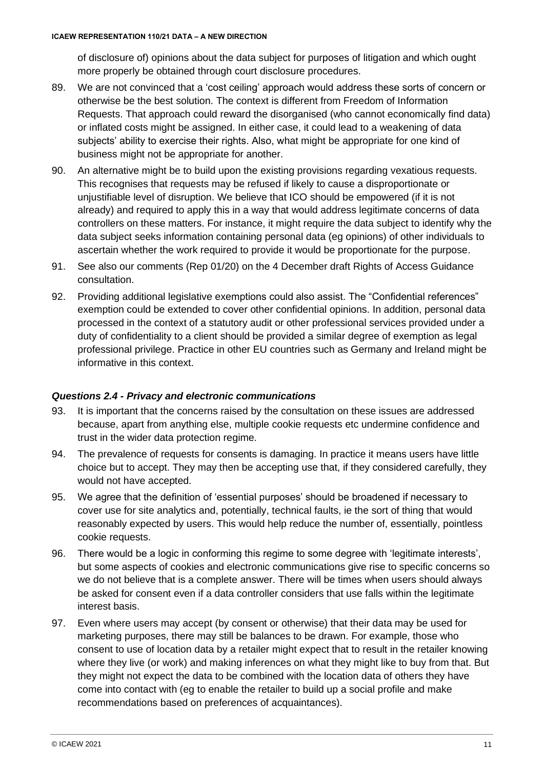of disclosure of) opinions about the data subject for purposes of litigation and which ought more properly be obtained through court disclosure procedures.

- 89. We are not convinced that a 'cost ceiling' approach would address these sorts of concern or otherwise be the best solution. The context is different from Freedom of Information Requests. That approach could reward the disorganised (who cannot economically find data) or inflated costs might be assigned. In either case, it could lead to a weakening of data subjects' ability to exercise their rights. Also, what might be appropriate for one kind of business might not be appropriate for another.
- 90. An alternative might be to build upon the existing provisions regarding vexatious requests. This recognises that requests may be refused if likely to cause a disproportionate or unjustifiable level of disruption. We believe that ICO should be empowered (if it is not already) and required to apply this in a way that would address legitimate concerns of data controllers on these matters. For instance, it might require the data subject to identify why the data subject seeks information containing personal data (eg opinions) of other individuals to ascertain whether the work required to provide it would be proportionate for the purpose.
- 91. See also our comments [\(Rep 01/20\)](https://www.icaew.com/-/media/corporate/files/technical/icaew-representations/2020/icaew-rep-01-20-draft-right-of-access-guidance.ashx) on the 4 December draft Rights of Access Guidance consultation.
- 92. Providing additional legislative exemptions could also assist. The "Confidential references" exemption could be extended to cover other confidential opinions. In addition, personal data processed in the context of a statutory audit or other professional services provided under a duty of confidentiality to a client should be provided a similar degree of exemption as legal professional privilege. Practice in other EU countries such as Germany and Ireland might be informative in this context.

# *Questions 2.4 - Privacy and electronic communications*

- 93. It is important that the concerns raised by the consultation on these issues are addressed because, apart from anything else, multiple cookie requests etc undermine confidence and trust in the wider data protection regime.
- 94. The prevalence of requests for consents is damaging. In practice it means users have little choice but to accept. They may then be accepting use that, if they considered carefully, they would not have accepted.
- 95. We agree that the definition of 'essential purposes' should be broadened if necessary to cover use for site analytics and, potentially, technical faults, ie the sort of thing that would reasonably expected by users. This would help reduce the number of, essentially, pointless cookie requests.
- 96. There would be a logic in conforming this regime to some degree with 'legitimate interests', but some aspects of cookies and electronic communications give rise to specific concerns so we do not believe that is a complete answer. There will be times when users should always be asked for consent even if a data controller considers that use falls within the legitimate interest basis.
- 97. Even where users may accept (by consent or otherwise) that their data may be used for marketing purposes, there may still be balances to be drawn. For example, those who consent to use of location data by a retailer might expect that to result in the retailer knowing where they live (or work) and making inferences on what they might like to buy from that. But they might not expect the data to be combined with the location data of others they have come into contact with (eg to enable the retailer to build up a social profile and make recommendations based on preferences of acquaintances).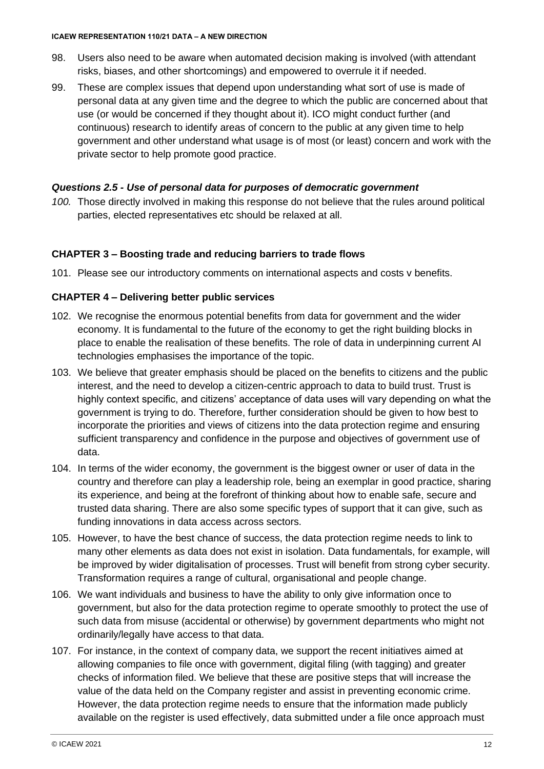- 98. Users also need to be aware when automated decision making is involved (with attendant risks, biases, and other shortcomings) and empowered to overrule it if needed.
- 99. These are complex issues that depend upon understanding what sort of use is made of personal data at any given time and the degree to which the public are concerned about that use (or would be concerned if they thought about it). ICO might conduct further (and continuous) research to identify areas of concern to the public at any given time to help government and other understand what usage is of most (or least) concern and work with the private sector to help promote good practice.

# *Questions 2.5 - Use of personal data for purposes of democratic government*

*100.* Those directly involved in making this response do not believe that the rules around political parties, elected representatives etc should be relaxed at all.

# **CHAPTER 3 – Boosting trade and reducing barriers to trade flows**

101. Please see our introductory comments on international aspects and costs v benefits.

# **CHAPTER 4 – Delivering better public services**

- 102. We recognise the enormous potential benefits from data for government and the wider economy. It is fundamental to the future of the economy to get the right building blocks in place to enable the realisation of these benefits. The role of data in underpinning current AI technologies emphasises the importance of the topic.
- 103. We believe that greater emphasis should be placed on the benefits to citizens and the public interest, and the need to develop a citizen-centric approach to data to build trust. Trust is highly context specific, and citizens' acceptance of data uses will vary depending on what the government is trying to do. Therefore, further consideration should be given to how best to incorporate the priorities and views of citizens into the data protection regime and ensuring sufficient transparency and confidence in the purpose and objectives of government use of data.
- 104. In terms of the wider economy, the government is the biggest owner or user of data in the country and therefore can play a leadership role, being an exemplar in good practice, sharing its experience, and being at the forefront of thinking about how to enable safe, secure and trusted data sharing. There are also some specific types of support that it can give, such as funding innovations in data access across sectors.
- 105. However, to have the best chance of success, the data protection regime needs to link to many other elements as data does not exist in isolation. Data fundamentals, for example, will be improved by wider digitalisation of processes. Trust will benefit from strong cyber security. Transformation requires a range of cultural, organisational and people change.
- 106. We want individuals and business to have the ability to only give information once to government, but also for the data protection regime to operate smoothly to protect the use of such data from misuse (accidental or otherwise) by government departments who might not ordinarily/legally have access to that data.
- 107. For instance, in the context of company data, we support the recent initiatives aimed at allowing companies to file once with government, digital filing (with tagging) and greater checks of information filed. We believe that these are positive steps that will increase the value of the data held on the Company register and assist in preventing economic crime. However, the data protection regime needs to ensure that the information made publicly available on the register is used effectively, data submitted under a file once approach must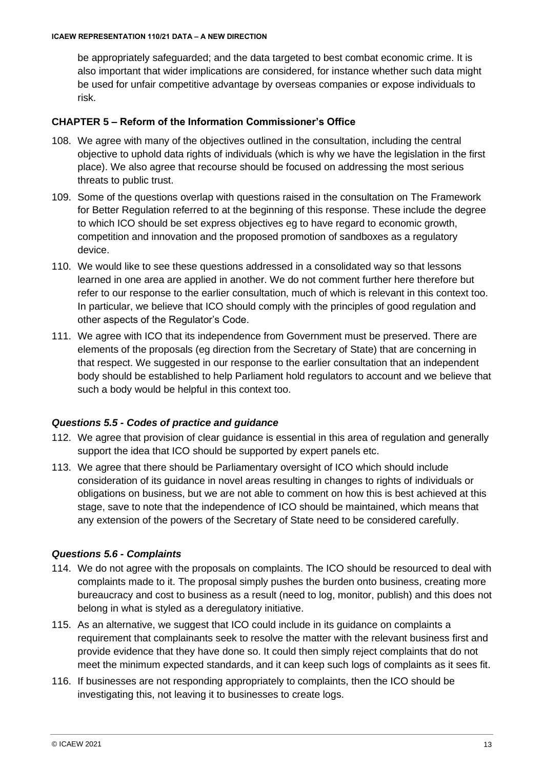be appropriately safeguarded; and the data targeted to best combat economic crime. It is also important that wider implications are considered, for instance whether such data might be used for unfair competitive advantage by overseas companies or expose individuals to risk.

# **CHAPTER 5 – Reform of the Information Commissioner's Office**

- 108. We agree with many of the objectives outlined in the consultation, including the central objective to uphold data rights of individuals (which is why we have the legislation in the first place). We also agree that recourse should be focused on addressing the most serious threats to public trust.
- 109. Some of the questions overlap with questions raised in the consultation on The Framework for Better Regulation referred to at the beginning of this response. These include the degree to which ICO should be set express objectives eg to have regard to economic growth, competition and innovation and the proposed promotion of sandboxes as a regulatory device.
- 110. We would like to see these questions addressed in a consolidated way so that lessons learned in one area are applied in another. We do not comment further here therefore but refer to our response to the earlier consultation, much of which is relevant in this context too. In particular, we believe that ICO should comply with the principles of good regulation and other aspects of the Regulator's Code.
- 111. We agree with ICO that its independence from Government must be preserved. There are elements of the proposals (eg direction from the Secretary of State) that are concerning in that respect. We suggested in our response to the earlier consultation that an independent body should be established to help Parliament hold regulators to account and we believe that such a body would be helpful in this context too.

# *Questions 5.5 - Codes of practice and guidance*

- 112. We agree that provision of clear guidance is essential in this area of regulation and generally support the idea that ICO should be supported by expert panels etc.
- 113. We agree that there should be Parliamentary oversight of ICO which should include consideration of its guidance in novel areas resulting in changes to rights of individuals or obligations on business, but we are not able to comment on how this is best achieved at this stage, save to note that the independence of ICO should be maintained, which means that any extension of the powers of the Secretary of State need to be considered carefully.

## *Questions 5.6 - Complaints*

- 114. We do not agree with the proposals on complaints. The ICO should be resourced to deal with complaints made to it. The proposal simply pushes the burden onto business, creating more bureaucracy and cost to business as a result (need to log, monitor, publish) and this does not belong in what is styled as a deregulatory initiative.
- 115. As an alternative, we suggest that ICO could include in its guidance on complaints a requirement that complainants seek to resolve the matter with the relevant business first and provide evidence that they have done so. It could then simply reject complaints that do not meet the minimum expected standards, and it can keep such logs of complaints as it sees fit.
- 116. If businesses are not responding appropriately to complaints, then the ICO should be investigating this, not leaving it to businesses to create logs.